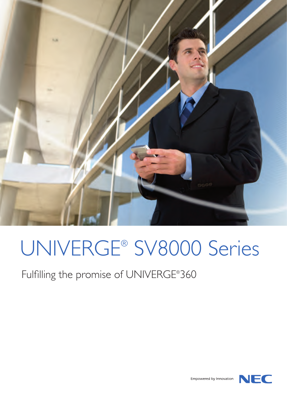

# UNIVERGE® SV8000 Series

Fulfilling the promise of UNIVERGE® 360



Empowered by Innovation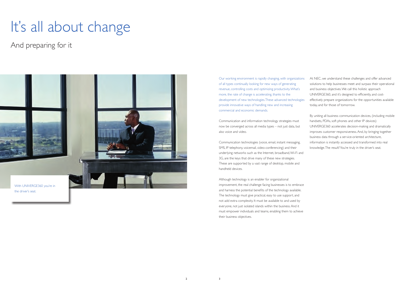Our working environment is rapidly changing, with organizations of all types continually looking for new ways of generating revenue, controlling costs and optimizing productivity. What's more, the rate of change is accelerating, thanks to the development of new technologies. These advanced technologies provide innovative ways of handling new and increasing commercial and economic demands.

Communication and information technology strategies must now be converged across all media types – not just data, but also voice and video.

Communication technologies (voice, email, instant messaging, SMS, IP telephony, voicemail, video-conferencing) and their underlying networks such as the Internet, broadband, Wi-Fi and 3G, are the keys that drive many of these new strategies. These are supported by a vast range of desktop, mobile and handheld devices.

Although technology is an enabler for organizational improvement, the real challenge facing businesses is to embrace and harness the potential benefits of the technology available. The technology must give practical, easy to use support, and not add extra complexity. It must be available to and used by everyone, not just isolated islands within the business. And it must empower individuals and teams, enabling them to achieve their business objectives.

At NEC, we understand these challenges and offer advanced solutions to help businesses meet and surpass their operational and business objectives. We call this holistic approach UNIVERGE360, and it's designed to efficiently, and costeffectively prepare organizations for the opportunities available today, and for those of tomorrow.

By uniting all business communication devices, (including mobile handsets, PDAs, soft phones and other IP devices) UNIVERGE360 accelerates decision-making and dramatically improves customer responsiveness. And, by bringing together business data through a service-oriented architecture, information is instantly accessed and transformed into real knowledge. The result? You're truly in the driver's seat.

# It's all about change



And preparing for it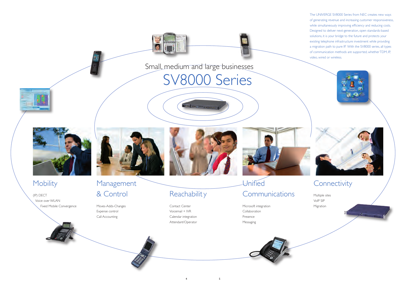Multiple sites VoIP SIP Migration

(IP) DECT Voice over WLAN Fixed Mobile Convergence



## Management & Control

Moves-Adds-Changes Expense control Call Accounting



 $4\qquad \qquad 5$ 

# **Reachability**

The UNIVERGE SV8000 Series from NEC creates new ways of generating revenue and increasing customer responsiveness, while simultaneously improving efficiency and reducing costs. Designed to deliver next-generation, open standards-based solutions, it is your bridge to the future and protects your existing telephone infrastructure investment while providing a migration path to pure IP. With the SV8000 series, all types of communication methods are supported, whether TDM, IP, video, wired or wireless.



# **Connectivity**

Contact Center Voicemail + IVR Calendar integration Attendant/Operator



# **Unified Communications**





Small, medium and large businesses

Bearing the Commission of

SV8000 Series



## **Mobility**

Microsoft integration **Collaboration** Presence Messaging

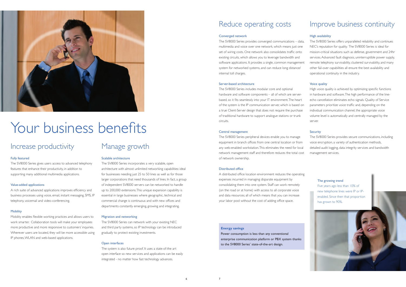### Increase productivity

#### Fully featured

The SV8000 Series gives users access to advanced telephony features that enhance their productivity, in addition to supporting many additional multimedia applications.

#### Value-added applications

A rich suite of advanced applications improves efficiency and business processes using voice, email, instant messaging, SMS, IP telephony, voicemail and video-conferencing.

#### **Mobility**

Mobility enables flexible working practices and allows users to work smarter. Collaboration tools will make your employees more productive and more responsive to customers' inquiries. Wherever users are located, they will be more accessible using IP phones, WLAN and web-based applications.

### Manage growth

#### Scalable architecture

The SV8000 Series incorporates a very scalable, open architecture with almost unlimited networking capabilities: ideal for businesses needing just 25 to 50 lines as well as for those larger corporations that need thousands of lines. In fact, a group of independent SV8000 servers can be networked to handle up to 200,000 extensions. This unique expansion capability is essential in large businesses where geographic, technical and commercial change is continuous and with new offices and departments constantly emerging, growing and integrating.

#### Migration and networking

The SV8000 Series can network with your existing NEC and third party systems, so IP technology can be introduced gradually to protect existing investments.

#### Open interfaces

The system is also future proof. It uses a state-of-the art open interface so new services and applications can be easily integrated - no matter how fast technology advances.

### Reduce operating costs

#### Converged network

The SV8000 Series provides converged communications – data, multimedia and voice over one network, which means just one set of wiring costs. One network also consolidates traffic onto existing circuits, which allows you to leverage bandwidth and software applications. It provides a single, common management system for networked systems, and can reduce long distance/ internal toll charges.

#### Server-based architecture

The SV8000 Series includes modular core and optional hardware and software components – all of which are serverbased, so it fits seamlessly into your IT environment. The heart of the system is the IP communication server, which is based on a true Client-Server design that does not require the purchase of traditional hardware to support analogue stations or trunk circuits.

#### Central management

The SV8000 Series peripheral devices enable you to manage equipment in branch offices from one central location or from any web-enabled workstation. This eliminates the need for local network management staff and therefore reduces the total cost of network ownership.

#### Distributed office

A distributed office location environment reduces the operating expenses incurred in managing disparate equipment by consolidating them into one system. Staff can work remotely (on the road or at home) with access to all corporate voice and data resources; all of which means that you can increase your labor pool without the cost of adding office space.



# Your business benefits

### Improve business continuity

#### High availability

The SV8000 Series offers unparalleled reliability and continues NEC's reputation for quality. The SV8000 Series is ideal for mission-critical situations such as defense, government and 24hr services. Advanced fault diagnosis, uninterruptible power supply, remote telephony survivability, clustered survivability, and many other fail-over capabilities all ensure the best availability and operational continuity in the industry.

#### Voice quality

High voice quality is achieved by optimizing specific functions in hardware and software. The high performance of the lineecho cancellation eliminates echo signals. Quality of Service parameters prioritize voice traffic and, depending on the individual communication channel, the appropriate voice volume level is automatically and centrally managed by the server.

#### **Security**

The SV8000 Series provides secure communications, including voice encryption, a variety of authentication methods, detailed audit logging, data integrity services and bandwidth management services.

#### The growing trend

Five years ago less than 10% of new telephone lines were IP or IPenabled. Since then that proportion has grown to 90%.

#### **Energy savings**

Power consumption is less than any conventional enterprise communication platform or PBX system thanks to the SV8000 Series' state-of-the-art design.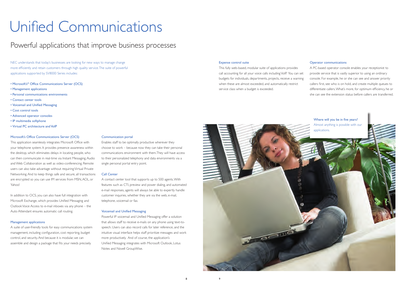# Unified Communications

## Powerful applications that improve business processes

NEC understands that today's businesses are looking for new ways to manage change more efficiently and retain customers through high quality service. The suite of powerful applications supported by SV8000 Series includes:

- Microsoft's® Office Communications Server (OCS)
- Management applications
- • Personal communications environments
- • Contact center tools
- • Voicemail and Unified Messaging
- • Cost control tools
- • Advanced operator consoles
- • IP multimedia softphone
- Virtual PC architecture and VoIP

#### Microsoft's Office Communications Server (OCS)

This application seamlessly integrates Microsoft Office with your telephone system. It provides presence awareness within the desktop, which eliminates delays in locating people, who can then communicate in real-time via Instant Messaging, Audio and Web Collaboration as well as video-conferencing. Remote users can also take advantage without requiring Virtual Private Networking. And to keep things safe and secure, all transactions are encrypted so you can use IM services from MSN, AOL, or Yahoo!

In addition to OCS, you can also have full integration with Microsoft Exchange, which provides Unified Messaging and Outlook Voice Access to e-mail inboxes via any phone – the Auto Attendant ensures automatic call routing.

#### Management applications

A suite of user-friendly tools for easy communications system management, including configuration, cost reporting, budget control, and security. And because it is modular, we can assemble and design a package that fits your needs precisely.

#### Expense control suite

This fully web-based, modular suite of applications provides call accounting for all your voice calls including VoIP. You can set budgets for individuals, departments, projects, receive a warning when these are almost exceeded, and automatically restrict service class when a budget is exceeded.

#### Operator communications

A PC-based operator console enables your receptionist to provide service that is vastly superior to using an ordinary console. For example, he or she can see and answer priority callers first, see who is on hold, and create multiple queues to differentiate callers. What's more, for optimum efficiency, he or she can see the extension status before callers are transferred.

#### Communication portal

Enables staff to be optimally productive wherever they choose to work – because now they can take their personal communications environment with them. They will have access to their personalized telephony and data environments via a single personal portal entry point.

#### Call Center

A contact center tool that supports up to 500 agents. With features such as CTI, preview and power dialing, and automated e-mail responses, agents will always be able to expertly handle customer inquiries, whether they are via the web, e-mail, telephone, voicemail or fax.

#### Voicemail and Unified Messaging

Powerful IP voicemail and Unified Messaging offer a solution that allows staff to receive e-mails on any phone using text-tospeech. Users can also record calls for later reference, and the intuitive visual interface helps staff prioritize messages and work more productively. And of course, the application's Unified Messaging integrates with Microsoft Outlook, Lotus Notes and Novell GroupWise.

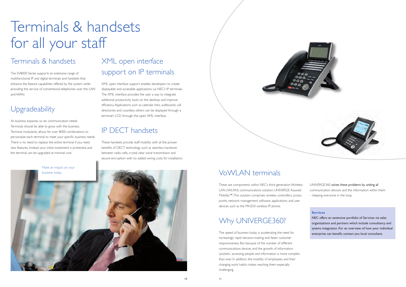# Terminals & handsets for all your staff

### Terminals & handsets

The SV8000 Series supports an extensive range of multifunctional IP and digital terminals and handsets that enhance the feature capabilities offered by the system while providing the service of conventional telephones over the LAN and WAN.

## **Upgradeability**

As business expands, so do communication needs. Terminals should be able to grow with the business. Terminal modularity allows for over 8000 combinations to personalize each terminal to meet your specific business needs. There is no need to replace the entire terminal if you need new features. Instead, your initial investment is protected, and the terminal can be upgraded at minimal cost.

# XML open interface support on IP terminals

XML open interface support enables developers to create displayable and accessible applications via NEC's IP terminals. The XML interface provides the user a way to integrate additional productivity tools on the desktop and improve efficiency. Applications such as calendar links, wallboards, call directories and countless others can be displayed through a terminal's LCD through the open XML interface.

## IP DECT handsets

These handsets provide staff mobility with all the proven benefits of DECT technology such as seamless handover between radio cells, crystal clear voice transmission and secure encryption with no added wiring costs for installation.

> UNIVERGE360 solves these problems by uniting all communication devices and the information within them – keeping everyone in the loop.

### VoWLAN terminals

These are components within NEC's third generation Wireless LAN (WLAN) communications solution: UNIVERGE Assured Mobility™. This solution comprises wireless controllers, access points, network management software, applications, and user devices such as the MH250 wireless IP phone.

# Why UNIVERGE360?

The speed of business today is accelerating the need for increasingly rapid decision-making and faster customer responsiveness. But because of the number of different communications devices and the growth of information 'pockets', accessing people and information is more complex than ever. In addition, the mobility of employees and their changing work habits makes reaching them especially challenging.

#### **Services**

NEC offers an extensive portfolio of Services via sales organizations and partners which include consultancy and sytems integration. For an overview of how your individual enterprise can benefit, contact you local consultant.